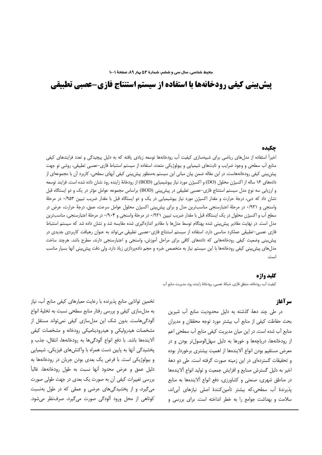# **پیش بینی کیفی رودخانهها با استفاده از سیستم استنتاج فازی-عصبی تطبیقی**

#### حكىده

اخیراً استفاده از مدلهای ریاضی برای شبیهسازی کیفیت آب رودخانهها توسعه زیادی یافته که به دلیل پیچیدگی و تعدد فرایندهای کیفی منابع آب سطحی و وجود ضرایب و ثابتهای شیمیایی و بیولوژیکی متعدد، استفاده از سیستم استنباط فازی–عصبی تطبیقی، روشی نو جهت پیش بینی کیفی رودخانههاست. در این مقاله ضمن بیان مبانی این سیستم بهمنظور پیش بینی کیفی آبهای سطحی، کاربرد آن با مجموعهای از دادههای ۱۶ ساله از اکسیژن محلول (DO) و اکسیژن مورد نیاز بیوشیمیایی (BOD) از رودخانهٔ زاینده رود نشان داده شده است. فرایند توسعه و ارزیابی سه نوع مدل سیستم استنتاج فازی–عصبی تطبیقی در پیش بینی (BOD) براساس مجموعه عوامل مؤثر در یک و دو ایستگاه قبل نشان داد که دبی، درجهٔ حرارت و مقدار اکسیژن مورد نیاز بیوشیمیایی در یک و دو ایستگاه قبل با مقدار ضریب تبیین ۱۹۵۳۰ در مرحلهٔ واسنجی و ۰/۹۳۱ در مرحلهٔ اعتبارسنجی مناسبترین مدل و برای پیش بینی اکسیژن محلول عوامل سرعت، عمق، درجهٔ حرارت، عرض در سطح آب و اکسیژن محلول در یک ایستگاه قبل با مقدار ضریب تبیین ۰/۹۲۱ در مرحلهٔ واسنجی و ۰/۹۰۴ در مرحلهٔ اعتبارسنجی، مناسبترین مدل است. در نهایت مقادیر پیش بینی شده بهنگام توسط مدلها با مقادیر اندازهگیری شده مقایسه شد و نشان داده شد که سیستم استنباط فازی عصبی–تطبیقی عملکرد مناسبی دارد. استفاده از سیستم استنتاج فازی–عصبی تطبیقی می،تواند به عنوان رهیافت کاربردی جدیدی در پیش بینی وضعیت کیفی رودخانههایی که دادههای کافی برای مراحل آموزش، واسنجی و اعتبارسنجی دارند، مطرح باشد. هرچند ساخت مدلهای پیش بینی کیفی رودخانهها با این سیستم نیاز به متخصص خبره و حجم دادهپردازی زیاد دارد، ولی دقت پیش بینی آنها بسیار مناسب است.

#### كليد واژه

كيفيت آب، رودخانه، منطق فازى، شبكةً عصبي، رودخانةً زاينده رود، مديريت منابع آب

# سر آغاز

در طی چند دههٔ گذشته به دلیل محدودیت منابع آب شیرین بحث حفاظت كيفي از منابع آب بيشتر مورد توجه محققان و مديران منابع أب شده است. در این میان مدیریت کیفی منابع آب سطحی اعم از رودخانهها، دریاچهها و خورها به دلیل سهل|لوصولتر بودن و در معرض مستقيم بودن انواع ألايندهها از اهميت بيشترى برخوردار بوده و تحقیقات گستردهای در این زمینه صورت گرفته است. طی دو دههٔ اخير به دليل گسترش صنايع و افزايش جمعيت و توليد انواع آلايندهها در مناطق شهری، صنعتی و کشاورزی، دفع انواع آلایندهها به منابع يذيرندة آب سطحي،كه بيشتر تأمين كنندة اصلى نيازهاى آبى اند، سلامت و بهداشت جوامع را به خطر انداخته است. برای بررسی و

تخمین توانایی منابع پذیرنده با رعایت معیارهای کیفی منابع أب، نیاز به مدلسازی کیفی و بررسی رفتار منابع سطحی نسبت به تخلیهٔ انواع ألودگیهاست. بدون شک این مدلسازی کیفی نمیتواند مستقل از مشخصات هیدرولیکی و هیدرودینامیکی رودخانه و مشخصات کیفی ألايندهها باشد. با دفع انواع ألودگيها به رودخانهها، انتقال، جذب و پخشیدگی آنها به پایین دست همراه با واکنشهای فیزیکی، شیمیایی و بیولوژیکی است. با فرض یک بعدی بودن جریان در رودخانهها به دلیل عمق و عرض محدود آنها نسبت به طول رودخانهها، غالباً بررسی تغییرات کیفی اُن به صورت یک بعدی در جهت طولی صورت می گیرد، و از پخشیدگی های عرضی و عمقی که در طول بهنسبت کوتاهی از محل ورود آلودگی صورت میگیرد، صرفنظر می شود.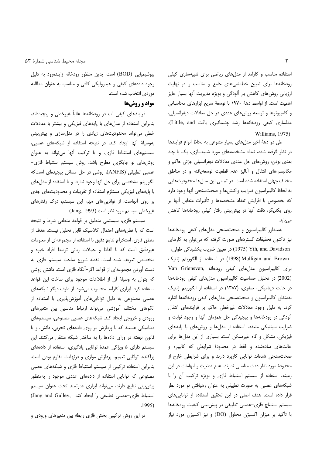استفاده مناسب و کارامد از مدل های ریاضی برای شبیهسازی کیفی رودخانهها برای تعیین خطمشی های جامع و مناسب و در نهایت ارزیابی روشهای کاهش بار آلودگی و بویژه مدیریت آنها بسیار حایز اهميت است. از اواسط دهة ١٩٧٠ با توسعة سريع ابزارهاى محاسباتى و کامپیوترها و توسعه روشهای عددی در حل معادلات دیفرانسیلی، مدلسازی کیفی رودخانهها رشد چشمگیری یافت Little, and). Williams, 1975)

طی دو دههٔ اخیر مدلهای بسیار متنوعی به لحاظ انواع فرایندها در نظر گرفته شده، تعداد مشخصههای مورد شبیهسازی، یک یا چند بعدی بودن، روشهای حل عددی معادلات دیفرانسیلی جزئی حاکم و مکانیسمهای انتقال و أنالیز عدم قطعیت توسعهیافته و در مناطق مختلف جهان استفاده شده است. در تمامی این مدلها محدودیتهایی به لحاظ كاليبراسيون ضرايب واكنشءا و صحتسنجي أنها وجود دارد كه بخصوص با افزايش تعداد مشخصهها و تأثيرات متقابل أنها بر روی یکدیگر، دقت آنها در پیش بینی رفتار کیفی رودخانهها کاهش مىيابد.

بهمنظور كاليبراسيون وصحت سنجى مدل هاى كيفى رودخانهها نیز تاکنون تحقیقات گستردهای صورت گرفته که میتوان به کارهای در تعیین ضریب پخشیدگی طولی، (1975) Sih, and Davidson Mulligan and Brown (1998) در استفاده از الگوريتم ژنتيک Van Griensven, برای کالیبراسیون مدل های کیفی رودخانه (2002) در تحلیل حساسیت کالیبراسیون مدلهای کیفی رودخانهها در حالت دینامیکی، صفوی، (۱۳۸۷) در استفاده از الگوریتم ژنتیک بهمنظور كاليبراسيون وصحت سنجى مدل هاى كيفى رودخانهها اشاره کرد. به دلیل وجود معادلات غیرخطی حاکم بر فرایندهای انتقال ألودگی در رودخانهها و پیچیدگی حل همزمان أنها و وجود ثوابت و ضرایب سینتیکی متعدد، استفاده از مدلها و روشهای با پایههای فیزیکی، مشکل و گاه غیرممکن است. بسیاری از این مدلها برای حالتهای سادهشده و فقط در محدودهٔ شرایطی که کالیبره و صحتسنجی شدهاند توانایی کاربرد دارند و برای شرایطی خارج از محدودهٔ مورد نظر دقت مناسبی ندارند. عدم قطعیت و ابهامات در این زمينه، استفاده از سيستم استنباط فازى و بويژه تركيب آن را با شبکههای عصبی به صورت تطبیقی به عنوان رهیافتی نو مورد نظر قرار داده است. هدف اصلی در این تحقیق استفاده از توانایی های سیستم استنتاج فازی-عصبی تطبیقی در پیش بینی کیفیت رودخانهها با تأكيد بر ميزان اكسيژن محلول (DO) و نيز اكسيژن مورد نياز

بیوشیمیایی (BOD) است. بدین منظور رودخانه زایندهرود به دلیل وجود دادههای کیفی و هیدرولیکی کافی و مناسب به عنوان مطالعه موردي انتخاب شده است.

## مواد و روشها

فرایندهای کیفی آب در رودخانهها غالباً غیرخطی و پیچیدهاند، بنابراین استفاده از مدلهای با پایههای فیزیکی و بیشتر با معادلات خطی می تواند محدودیتهای زیادی را در مدل سازی و پیش بینی بهوسیلهٔ اَنها ایجاد کند. در نتیجه استفاده از شبکههای عصبی، سیستمهای استنباط فازی، و یا ترکیب أنها میتواند به عنوان روش های نو جایگزین مطرح باشد. روش سیستم استنباط فازی-عصبی تطبیقی $\mathrm{(ANFIS)}^1$ )، روشی در حل مسائل پیچیدهای است که الگوریتم مشخصی برای حل آنها وجود ندارد، و یا استفاده از مدلهای با پایههای فیزیکی مستلزم استفاده از تقریبات و محدودیتهای جدی بر روی آنهاست. از تواناییهای مهم این سیستم، درک رفتارهای غيرخطي سيستم مورد نظر است (Jang, 1993).

سیستم فازی، سیستمی منطبق بر قواعد منطقی شرط و نتیجه است که با نظریههای احتمال کلاسیک قابل تحلیل نیست. هدف از منطق فازی، استخراج نتایج دقیق با استفاده از مجموعهای از معلومات غیردقیق است که با الفاظ و جملات زبانی توسط افراد خبره و متخصص تعریف شده است. نقطه شروع ساخت سیستم فازی به دست آوردن مجموعهای از قواعد اگر–آنگاه فازی است. داشتن روشی كه بتوان به وسيلهٔ أن از اطلاعات موجود براى ساخت اين قواعد استفاده کرد، ابزاری کارامد محسوب میشود. از طرف دیگر شبکههای عصبی مصنوعی به دلیل تواناییهای آموزش پذیری با استفاده از الگوهای مختلف آموزشی میتواند ارتباط مناسبی بین متغیرهای ورودی و خروجی ایجاد کند. شبکههای عصبی مصنوعی، سیستمهای دینامیکی هستند که با پردازش بر روی دادههای تجربی، دانش، و یا قانون نهفته در ورای دادهها را به ساختار شبکه منتقل میکنند. این سیستم دارای ۵ ویژگی عمدهٔ توانایی یادگیری، استفاده از دادههای پراکنده، توانایی تعمیم، پردازش موازی و درنهایت مقاوم بودن است. بنابراین استفاده ترکیبی از سیستم استنباط فازی و شبکههای عصبی مصنوعی که توانایی استفاده از دادههای عددی موجود را بهمنظور پیش بینی نتایج دارند، می تواند ابزاری قدرتمند تحت عنوان سیستم استنباط فازى-عصبى تطبيقى را ايجاد كند ,Jang and Gulley  $.1995)$ 

در این روش ترکیبی بخش فازی رابطه بین متغیرهای ورودی و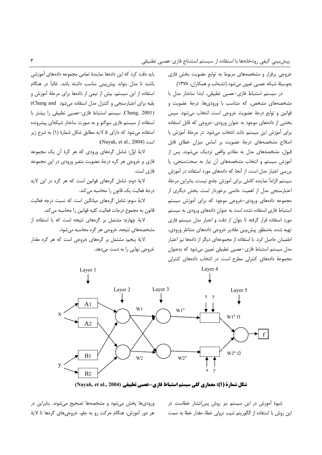خروجی برقرار و مشخصههای مربوط به توابع عضویت بخش فازی بهوسيلة شبكه عصبي تعيين مي شود (تشنهلب و همكاران، ١٣٧٨).

در سيستم استنباط فازى-عصبى تطبيقى، ابتدا ساختار مدل با مشخصههای مشخص، که متناسب با ورودیها، درجهٔ عضویت و قوانین و توابع درجة عضویت خروجی است، انتخاب می شود. سپس بخشی از دادههای موجود به عنوان ورودی-خروجی که قابل استفاده برای آموزش این سیستم باشد انتخاب می شود. در مرحلهٔ آموزش با اصلاح مشخصههای درجهٔ عضویت بر اساس میزان خطای قابل قبول، مشخصههای مدل به مقادیر واقعی نزدیک می شوند. پس از آموزش سیستم و انتخاب مشخصههای أن نیاز به صحتسنجی، یا بررسی اعتبار مدل است. از آنجا که دادههای مورد استفاده در آموزش سيستم الزامأ نماينده كاملي براى آموزش جامع نيست، بنابراين مرحلة اعتبارسنجی مدل از اهمیت خاصی برخوردار است. بخش دیگری از مجموعه دادههای ورودی-خروجی موجود که برای آموزش سیستم استنباط فازی استفاده نشده است به عنوان دادههای ورودی به سیستم مورد استفاده قرار گرفته تا بتوان از دقت و اعتبار مدل سیستم فازی تهيه شده، بهمنظور پيش بيني مقادير خروجي دادههاي متناظر ورودي، اطمینان حاصل کرد. با استفاده از مجموعهای دیگر از دادهها نیز اعتبار مدل سیستم استنباط فازی–عصبی تطبیقی تعیین میشود که بهعنوان مجموعهٔ دادههای کنترلی مطرح است. در انتخاب دادههای کنترلی

باید دقت کرد که این دادهها نمایندهٔ تمامی مجموعه دادههای آموزشی باشند تا مدل بتواند پیش بینی مناسب داشته باشد. غالباً در هنگام استفاده از این سیستم، بیش از نیمی از دادهها برای مرحلهٔ آموزش و بقیه برای اعتبارسنجی و کنترل مدل استفاده می شود Chang and) Chang, 2001). سيستم استنباط فازى-عصبى تطبيقى را بيشتر با استفاده از سیستم فازی سوگنو و به صورت ساختار شبکهای پیشرونده استفاده می شود که دارای ۵ لایه مطابق شکل شمارهٔ (۱) به شرح زیر :(Nayak, et al., 2004):

لايهٔ اوّل: شامل گرەهای ورودی که هر گرهٔ آن یک مجموعه فازی و خروجی هر گره درجهٔ عضویت متغیر ورودی در این مجموعه فازی است.

لايهٔ دوم: شامل گرههاى قوانين است كه هر گره در اين لايه درجهٔ فعالیت یک قانون را محاسبه میکند.

لايهٔ سوم: شامل گرههاى ميانگين است كه نسبت درجه فعاليت قانون به مجموع درجات فعالیت کلیه قوانین را محاسبه می کند.

لاية چهارم: مشتمل بر گرههاى نتيجه است كه با استفاده از مشخصههای نتیجه، خروجی هر گره محاسبه میشود.

لایهٔ پنجم: مشتمل بر گرههای خروجی است که هر گره مقدار خروجی نهایی را به دست میدهد.



شكل شمارة (1): معماري كلي سيستم استنباط فازي-عصبي تطبيقي (Nayak, et al., 2004)

شیوهٔ آموزش در این سیستم نیز روش پس انتشار خطاست. در این روش با استفاده از الگوریتم شیب نزولی خطا، مقدار خطا به سمت

ورودی ها پخش می شود و مشخصه ها تصحیح می شوند. بنابراین در هر دور آموزش، هنگام حرکت رو به جلو، خروجیهای گرهها تا لایهٔ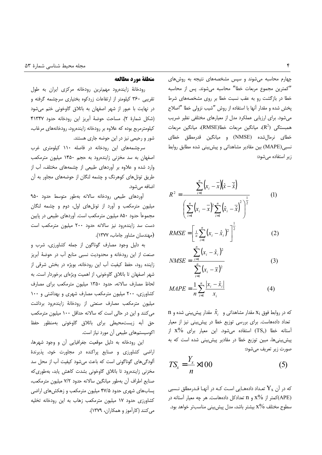چهارم محاسبه می شوند و سپس مشخصههای نتیجه به روشهای "كمترين مجموع مربعات خطا" محاسبه مى شوند. پس از محاسبه خطا در بازگشت رو به عقب نسبت خطا بر روی مشخصههای شرط پخش شده و مقدار أنها با استفاده از روش "شیب نزولی خطا "اصلاح میشود. برای ارزیابی عملکرد مدل از معیارهای مختلفی نظیر ضریب همبستگی  $(\mathrm{R}^2)$ ، میانگین مربعات خطا $(\mathrm{RMSE})$ ، میانگین مربعات خطای نرمالشده (NMSE) و میانگین قدرمطلق خطای نسبی (MAPE) بین مقادیر مشاهداتی و پیش بینی شده مطابق روابط زیر استفاده می شود:

$$
R^{2} = \frac{\sum_{i=1}^{n} (x_{i} - \overline{x})(\hat{x} - \overline{\hat{x}})}{\left(\sum_{i=1}^{n} (x_{i} - \overline{x})^{2} \sum_{i=1}^{n} (\hat{x}_{i} - \overline{\hat{x}})^{2}\right)^{\frac{1}{2}}}
$$
(1)

$$
RMSE = \left[\frac{1}{n}\sum_{i=1}^{n} (x_i - \hat{x}_i)^2\right]^2
$$
 (2)

$$
NMSE = \frac{\sum_{i=1}^{N} (x_i - x_i)^2}{\sum_{i=1}^{N} (x_i - \bar{x})^2}
$$
(3)

$$
MAPE = \frac{1}{n} \sum_{i=1}^{n} \frac{|x_i - \hat{x}_i|}{x_i}
$$
 (4)

n که در روابط فوق  $\mathrm{x_{i}}$  مقدار مشاهداتی و  $\hat{x_{i}}$  مقدار پیش بینی شده و تعداد دادههاست. برای بررسی توزیع خطا در پیش بینی نیز از معیار اًستانه خطا  $\mathrm{TS_x)}$  استفاده میشود. این معیار برای  $\lambda^{\prime\prime}$  از پیش بینیها، مبین توزیع خطا در مقادیر پیش بینی شده است که به صورت زير تعريف مي شود:

$$
TS_x = \frac{Y_x}{n} \times 100\tag{5}
$$

که در آن  ${\rm Y}_{\rm x}$  تعـداد دادههـایی اسـت کـه در آنهـا قـدرمطلق نـسبی کمتر از %x و n تعدادکل دادههاست. هر چه معیار آستانه در $\lambda^0$  x و n تعدادکل دا $\lambda P$ E) سطوح مختلف 50% بيشتر باشد، مدل پيش بيني مناسبتر خواهد بود.

#### منطقة مورد مطالعه

رودخانهٔ زایندهرود مهمترین رودخانه مرکزی ایران به طول تقریبی ۳۶۰ کیلومتر از ارتفاعات زردکوه بختیاری سرچشمه گرفته و در نهایت با عبور از شهر اصفهان به باتلاق گاوخونی ختم میشود (شكل شمارة ٢). مساحت حوضة أبريز اين رودخانه حدود ٣١٣۴٧ کیلومترمربع بوده که علاوه بر رودخانه زایندهرود، رودخانههای مرغاب، شور و رحیمی نیز در این حوضه جاری هستند.

سرچشمههای این رودخانه در فاصله ۱۱۰ کیلومتری غرب اصفهان به سد مخزنی زایندهرود به حجم ۱۴۵۰ میلیون مترمکعب وارد شده و علاوه بر أوردهای طبیعی از چشمههای مختلف، أب از طریق تونلهای کوهرنگ و چشمه لنگان از حوضههای مجاور به آن اضافه می شود.

آوردهای طبیعی رودخانه سالانه بهطور متوسط حدود ۹۵۰ میلیون مترمکعب و آورد از تونلهای اول، دوم و چشمه لنگان مجموعاً حدود ۸۵۰ میلیون مترمکعب است. آوردهای طبیعی در پایین دست سد زایندهرود نیز سالانه حدود ۲۰۰ میلیون مترمکعب است (مهندسان مشاور جاماب، ۱۳۷۷).

به دلیل وجود مصارف گوناگون از جمله کشاورزی، شرب و صنعت از این رودخانه و محدودیت نسبی منابع آب در حوضهٔ آبریز زاینده رود، حفظ کیفیت آب این رودخانه، بویژه در بخش شرقی از شهر اصفهان تا باتلاق گاوخونی، از اهمیت ویژهای برخوردار است. به لحاظ مصارف سالانه، حدود ۱۳۵۰ میلیون مترمکعب برای مصارف کشاورزی، ۲۰۰ میلیون مترمکعب مصارف شهری و بهداشتی و ۱۰۰ میلیون مترمکعب مصارف صنعتی از رودخانهٔ زایندهرود برداشت می کنند و این در حالی است که سالانه حداقل ۱۰۰ میلیون مترمکعب حق أبه زيست محيطى براى باتلاق كاوخونى بهمنظور حفظ اکوسیستمهای طبیعی آن مورد نیاز است.

این رودخانه به دلیل موقعیت جغرافیایی آن و وجود شهرها، اراضی کشاورزی و صنایع پراکنده در مجاورت خود، پذیرندهٔ آلودگیهای گوناگونی است که باعث میشود کیفیت آب از محل سد مخزنی زایندهرود تا باتلاق گاوخونی بشدت کاهش یابد، بهطوری که صنايع اطراف آن بهطور ميانگين سالانه حدود ٧/٢ ميليون مترمكعب، پسابهای شهری حدود ۴۷/۵ میلیون مترمکعب و زهکشهای اراضی کشاورزی حدود ١٧ ميليون مترمكعب زهاب به اين رودخانه تخليه می کنند (کارآموز و همکاران، ۱۳۷۹).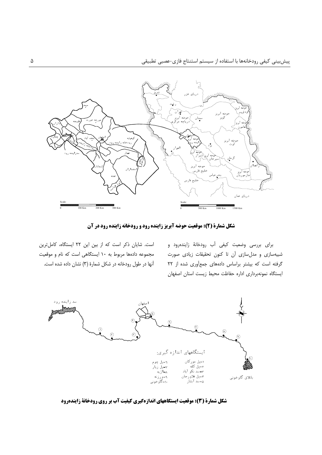

شکل شمارة (2): موقعیت حوضه آبریز زاینده رود و رودخانه زاینده رود در آن

برای بررسی وضعیت کیفی آب رودخانهٔ زایندهرود و شبیهسازی و مدلسازی آن تا کنون تحقیقات زیادی صورت گرفته است که بیشتر براساس دادههای جمعآوری شده از ۲۲ ايستگاه نمونهبردارى اداره حفاظت محيط زيست استان اصفهان

است. شایان ذکر است که از بین این ۲۲ ایستگاه، کاملترین مجموعه دادهها مربوط به ١٠ ايستگاهي است كه نام و موقعيت آنها در طول رودخانه در شکل شمارهٔ (۳) نشان داده شده است.



شکل شمارة (3): موقعیت ایستگاههای اندازهگیری کیفیت آب بر روی رودخانة زایندهرود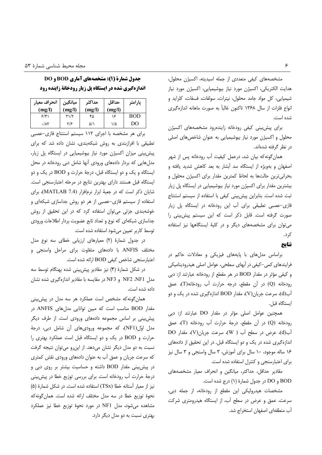مشخصههای کیفی متعددی از جمله اسیدیته، اکسیژن محلول، هدایت الکتریکی، اکسیژن مورد نیاز بیوشیمیایی، اکسیژن مورد نیاز شیمیایی، کل مواد جامد محلول، نیترات، سولفات، فسفات، کلراید و انواع فلزات از سال ۱۳۶۸ تاکنون غالباً به صورت ماهانه اندازهگیری شده است.

برای پیش بینی کیفی رودخانه زایندهرود مشخصههای اکسیژن محلول و اکسیژن مورد نیاز بیوشیمیایی به عنوان شاخصهای اصلی در نظر گرفته شدهاند.

همان گونه که بیان شد، درعمل کیفیت آب رودخانه پس از شهر اصفهان و بهویژه از ایستگاه سد آبشار به بعد کاهش شدید یافته و بحرانی ترین حالتها به لحاظ کمترین مقدار برای اکسیژن محلول و بیشترین مقدار برای اکسیژن مورد نیاز بیوشیمیایی در ایستگاه پل زیار ثبت شده است. بنابراین پیش بینی کیفی با استفاده از سیستم استنتاج فازی-عصبی تطبیقی برای آب این رودخانه در ایستگاه پل زیار صورت گرفته است. قابل ذکر است که این سیستم پیش بینی را می توان برای مشخصههای دیگر و در کلیهٔ ایستگاهها نیز استفاده کر د.

#### نتايج

براساس مدلهای با پایههای فیزیکی و معادلات حاکم در فرایندهای کمی-کیفی در آبهای سطحی، عوامل اصلی هیدرودینامیکی و كيفي مؤثر در مقدار BOD در هر مقطع از رودخانه عبارتند از: دبي رودخانه (Q) در آن مقطع، درجه حرارت آب رودخانه(T)، عمق آب(d)، سرعت جریان(V)، مقدار BOD اندازهگیری شده در یک و دو ايستگاه قبل.

همچنین عوامل اصلی مؤثر در مقدار DO عبارتند از: دبی رودخانه (Q) در آن مقطع، درجهٔ حرارت آب رودخانه (T)، عمق آب(d)، عرض در سطح آب ( W)، سرعت جریان(V)، مقدار DO اندازهگیری شده در یک و دو ایستگاه قبل. در این تحقیق از دادههای ١۶ ساله موجود، ١٠ سال براى آموزش، ٣ سال واسنجى و ٣ سال نيز برای اعتبارسنجی و کنترل استفاده شده است.

مقادیر حداقل، حداکثر، میانگین و انحراف معیار مشخصههای BOD و DO در جدول شمارهٔ (۱) درج شده است.

مشخصات هیدرولیکی این مقطع از رودخانه، از جمله دبی، سرعت، عمق و عرض در سطح أب، از ایستگاه هیدرومتری شرکت آب منطقهای اصفهان استخراج شد.

# جدول شمارة (1): مشخصههای آماری BOD و DO **اندازهگیری شده در ایستگاه یل زیار رودخانهٔ زاینده رود**

| انحراف معيار<br>(mg/l) | ميانگين<br>(mg/l) | حداكثه<br>(mg/l) | حداقل<br>(mg/l) | پارامتر |
|------------------------|-------------------|------------------|-----------------|---------|
| 5/5                    | ۳۱/۲              | ۴۵               | ۱۶              | BOD     |
| $\cdot/\lambda\tau$    | ۲۱۶               | ۵/۱              | ۱/۵             | DO      |

برای هر مشخصه با اجرای ١١٢ سیستم استنتاج فازی-عصبی تطبیقی با افرازبندی به روش شبکهبندی، نشان داده شد که برای پیش بینی میزان اکسیژن مورد نیاز بیوشیمیایی در ایستگاه پل زیار، مدل هایی که بردار دادههای ورودی آنها شامل دبی رودخانه در محل ایستگاه و یک و دو ایستگاه قبل، درجهٔ حرارت و BOD در یک و دو ایستگاه قبل هستند دارای بهترین نتایج در مرحله اعتبارسنجی است. شایان ذکر است که در جعبهٔ ابزار نرمافزار (MATLAB 7.4)، برای استفاده از سیستم فازی-عصبی از هر دو روش جداسازی شبکهای و خوشهبندی جزئی میتوان استفاده کرد که در این تحقیق از روش جداسازی شبکهای که نوع و تعداد تابع عضویت بردار اطلاعات ورودی توسط كاربر تعيين مي شود استفاده شده است.

در جدول شمارهٔ (۲) معیارهای ارزیابی خطای سه نوع مدل مختلف ANFIS با دادههای متفاوت برای مراحل واسنجی و اعتبارسنجى شاخص كيفى BOD ارائه شده است.

در شکل شمارهٔ (۴) نیز مقادیر پیش بینی شده بهنگام توسط سه مدل NF1، NF2 و NF3 در مقايسه با مقادير اندازهگيري شده نشان داده شده است.

همان گونه که مشخص است عملکرد هر سه مدل در پیش بینی مقدار BOD مناسب است كه مبين توانايي مدلهاي ANFIS در پیش بینی بر اساس مجموعه دادههای ورودی است. از طرف دیگر مدل اوّل(NF1)، که مجموعه ورودیهای آن شامل دبی، درجهٔ حرارت و BOD در یک و دو ایستگاه قبل است عملکرد بهتری را نسبت به دو مدل دیگر نشان میدهد. از این رو می توان نتیجه گرفت که سرعت جریان و عمق آب به عنوان دادههای ورودی نقش کمتری در پیش بینی مقدار BOD داشته و حساسیت بیشتر بر روی دبی و درجة حرارت أب رودخانه است. براى بررسى توزيع خطا در پيش بينى نيز از معيار آستانه خطا (TSx) استفاده شده است. در شكل شمارهٔ (۵) نحوهٔ توزیع خطا در سه مدل مختلف ارائه شده است. همان گونه که مشاهده می شود، مدل NF1 در مورد نحوهٔ توزیع خطا نیز عملکرد بهتری نسبت به دو مدل دیگر دارد.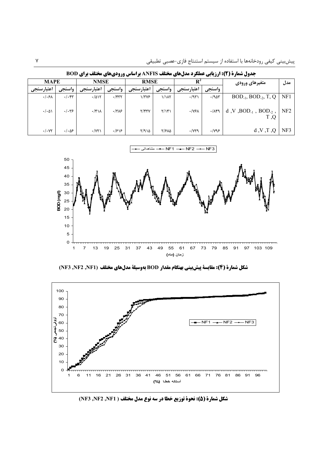|                     |                       | $\bullet$    | .            | <b>A</b> .     |                  | . .<br>-              |                       | ---                                           |                 |
|---------------------|-----------------------|--------------|--------------|----------------|------------------|-----------------------|-----------------------|-----------------------------------------------|-----------------|
| <b>MAPE</b>         |                       | <b>NMSE</b>  |              | <b>RMSE</b>    |                  |                       |                       | متغيرهاى ورودى                                | مدل             |
| اعتبارسنجي          | واسنجى                | اعتبارسنجي   | واسنجى       | اعتبارسنجي     | واسنجى           | اعتبارسنجى            | واسنجى                |                                               |                 |
| $.$ / $.5\lambda$   | $\cdot/\cdot$ ۴۳      | .7015        | $\cdot$ /۴۳۲ | $1/\tau\gamma$ | 1/1 <sub>N</sub> | .797                  | $.790$ ۳              | $BOD_{-1}$ , $BOD_{-2}$ , T, Q                | NF1             |
| $\cdot/\cdot\Delta$ | $. -$                 | $\cdot$ /۴۱۸ | $\cdot$ /۳۸۶ | Y/FYY          | $Y/\gamma$       | $\cdot$ /YSA          | $\cdot/\lambda$ ۴۹    | d, V, BOD <sub>-1</sub> , BOD <sub>-2</sub> , | NF <sub>2</sub> |
| $\cdot/\cdot$ YY    | $\cdot/\cdot\Delta$ ۶ | $\cdot$ /YT) | .1818        | Y/910          | ٢/۶٨۵            | $\cdot$ / $\gamma$ ۳۹ | $\cdot$ / $\gamma$ ۹۶ | Q, T, V, b                                    | NF3             |

جدول شمارة ( 2): ارزيابي عملكرد مدلهاي مختلف ANFIS براساس وروديهاي مختلف براي BOD



شكل شمارة (4): مقايسة پيش بيني بهنگام مقدار BOD بهوسيلة مدلهاي مختلف (NF3 ,NF2 ,NF1)



شكل شمارة (5): نحوة توزيع خطا در سه نوع مدل مختلف ( NF3 ,NF2 ,NF1)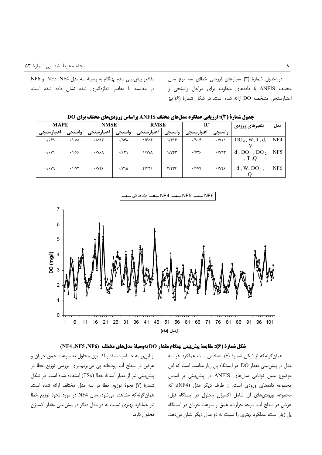مقادیر پیش بینی شده بهنگام به وسیلهٔ سه مدل NF5 ،NF4 و NF6 در مقایسه با مقادیر اندازهگیری شده نشان داده شده است. در جدول شمارهٔ (٣) معیارهای ارزیابی خطای سه نوع مدل مختلف ANFIS با دادههای متفاوت برای مراحل واسنجی و اعتبارسنجی مشخصه DO ارائه شده است. در شکل شمارهٔ (۶) نیز

جدول شمارة (3): ارزيابي عملكرد مدلهاي مختلف ANFIS براساس وروديهاي مختلف براي DO

| <b>MAPE</b>      |                            | <b>NMSE</b>           |                       | <b>RMSE</b> |                      | $\mathbf{R}^2$       |              | متغیرهای ورودی           | مدل             |
|------------------|----------------------------|-----------------------|-----------------------|-------------|----------------------|----------------------|--------------|--------------------------|-----------------|
| اعتبارسنجي       | واسنجى                     | اعتبارسنجى            | واسنجى                | اعتبارسنجى  | واسنجى               | اعتبارسنجي           | واسنجى       |                          |                 |
| .1.59            | $\cdot/\cdot\Delta\Lambda$ | $\cdot$ /995          | $\cdot$ /541          | ۱/۶۵۴       | ۱/۴۹۶                | $\cdot$ /9 $\cdot$ ۴ | .7971        | $DO_{-1}$ , W, T, d,     | NF4             |
| $\cdot/\cdot$ Y) | .  .99                     | $\cdot$ /Y۶ $\lambda$ | $\cdot$ /۶۲۱          | ۱/۹۷۸       | $\frac{1}{\sqrt{2}}$ | .1YY5                | $\cdot$ /yqr | d, $DO_{-1}$ , $DO_{-2}$ | NF <sub>5</sub> |
|                  |                            |                       |                       |             |                      |                      |              |                          |                 |
| $\cdot/\cdot$ yq | $\cdot/\cdot$ YY           | $\cdot$ / $\gamma$    | $\cdot$ /Y \ $\Delta$ | Y/FT        | Y/YYY                | $\cdot$ /۶۷۹         | .1YY5        | $d, W, DO_{-1},$         | NF <sub>6</sub> |
|                  |                            |                       |                       |             |                      |                      |              |                          |                 |



## شكل شمارة (6): مقايسة پيش بيني بهنگام مقدار DO بهوسيلة مدلهاي مختلف (NF5 ,NF5 ,NF6)

از این رو به حساسیت مقدار اکسیژن محلول به سرعت، عمق جریان و عرض در سطح آب رودخانه پی می بریم.برای بررسی توزیع خطا در پیش بینی نیز از معیار آستانهٔ خطا (TSx) استفاده شده است. در شکل شمارهٔ (٧) نحوهٔ توزیع خطا در سه مدل مختلف ارائه شده است. همان گونه كه مشاهده مى شود، مدل NF4 در مورد نحوهٔ توزیع خطا نیز عملکرد بهتری نسبت به دو مدل دیگر در پیش بینی مقدار اکسیژن محلول دارد.

همان گونه که از شکل شمارهٔ (۶) مشخص است عملکرد هر سه مدل در پیش بینی مقدار DO در ایستگاه پل زیار مناسب است که این موضوع مبین توانایی مدلهای ANFIS در پیش بینی بر اساس مجموعه دادههای ورودی است. از طرف دیگر مدل (NF4)، که مجموعه ورودی های آن شامل اکسیژن محلول در ایستگاه قبل، عرض در سطح آب، درجه حرارت، عمق و سرعت جریان در ایستگاه پل زیار است، عملکرد بهتری را نسبت به دو مدل دیگر نشان میدهد.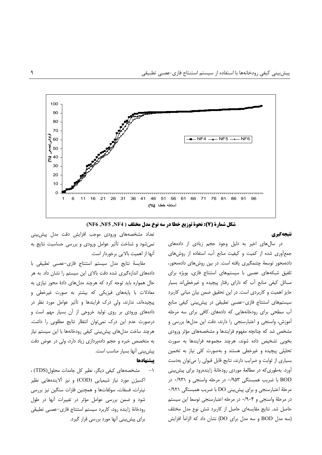

شكل شمارة (7): نحوة توزيع خطا در سه نوع مدل مختلف ( NF6 ,NF5 ,NF4)

#### نتيجهگيري

در سالهای اخیر به دلیل وجود حجم زیادی از دادههای جمع[َوری شده از کمیت و کیفیت منابع اَب، استفاده از روش های دادهمحور توسعهٔ چشمگیری یافته است. در بین روش های دادهمحور، تلفیق شبکههای عصبی با سیستمهای استنتاج فازی، بویژه برای مسائل کیفی منابع آب که دارای رفتار پیچیده و غیرخطیاند بسیار حایز اهمیت و کاربردی است. در این تحقیق ضمن بیان مبانی کاربرد سیستمهای استنتاج فازی-عصبی تطبیقی در پیش بینی کیفی منابع آب سطحی برای رودخانههایی که دادههای کافی برای سه مرحله آموزش، واسنجى و اعتبارسنجى را دارند، دقت اين مدلها بررسى و مشخص شد که چنانچه مفهوم فرایندها و مشخصههای مؤثر ورودی بخوبی تشخیص داده شوند، هرچند مجموعه فرایندها به صورت تحلیلی پیچیده و غیرخطی هستند و بهصورت کلی نیاز به تخمین بسیاری از ثوابت و ضرایب دارند، نتایج قابل قبولی را می توان بهدست آورد. بهطوری که در مطالعهٔ موردی رودخانهٔ زایندهرود برای پیش بینی BOD با ضریب همبستگی ۰/۹۵۳ در مرحله واسنجی و ۰/۹۳۱ در مرحلهٔ اعتبارسنجی و برای پیش بینی DO با ضریب همبستگی ۰/۹۲۱ در مرحلهٔ واسنجی و ۰/۹۰۴ در مرحله اعتبارسنجی توسط این سیستم حاصل شد. نتایج مقایسهای حاصل از کاربرد شش نوع مدل مختلف (سه مدل BOD و سه مدل برای DO) نشان داد که الزامأ افزایش

تعداد مشخصههای ورودی موجب افزایش دقت مدل پیش،بینی نمی شود و شناخت تأثیر عوامل ورودی و بررسی حساسیت نتایج به آنها از اهمیت بالایی برخوردار است.

مقايسةً نتايج مدل سيستم استنتاج فازي–عصبي تطبيقي با دادههای اندازهگیری شده دقت بالای این سیستم را نشان داد. به هر حال همواره باید توجه کرد که هرچند مدلهای دادهٔ محور نیازی به معادلات با پایههای فیزیکی که بیشتر به صورت غیرخطی و پیچیدهاند، ندارند، ولی درک فرایندها و تأثیر عوامل مورد نظر در دادههای ورودی بر روی تولید خروجی از آن بسیار مهم است و درصورت عدم این درک نمی توان انتظار نتایج مطلوبی را داشت. هرچند ساخت مدلهای پیش بینی کیفی رودخانهها با این سیستم نیاز به متخصص خبره و حجم دادهپردازی زیاد دارد، ولی در عوض دقت پیش بینی آنها بسیار مناسب است.

#### يبشنهادها

مشخصههای کیفی دیگر، نظیر کل جامدات محلول (TDS) ،  $-1$ اکسیژن مورد نیاز شیمیایی (COD) و نیز آلایندههایی نظیر نیترات، فسفات، سولفاتها و همچنین فلزات سنگین نیز بررسی شود و ضمن بررسی عوامل مؤثر در تغییرات آنها در طول رودخانة زاينده رود، كاربرد سيستم استنتاج فازى-عصبى تطبيقى برای پیش بینی آنها مورد بررسی قرار گیرد.